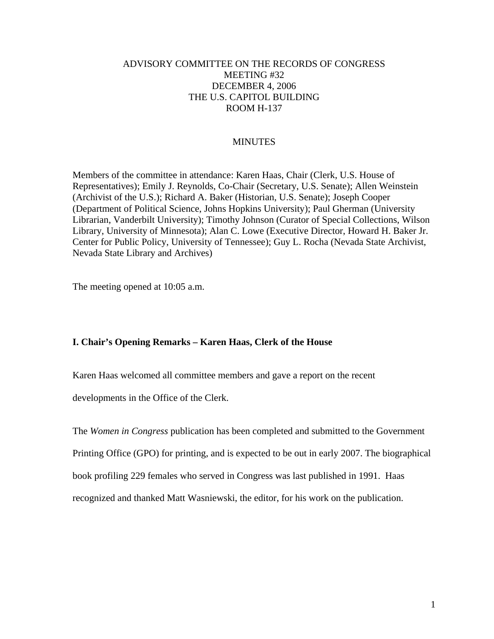# ADVISORY COMMITTEE ON THE RECORDS OF CONGRESS MEETING #32 DECEMBER 4, 2006 THE U.S. CAPITOL BUILDING ROOM H-137

# MINUTES

Members of the committee in attendance: Karen Haas, Chair (Clerk, U.S. House of Representatives); Emily J. Reynolds, Co-Chair (Secretary, U.S. Senate); Allen Weinstein (Archivist of the U.S.); Richard A. Baker (Historian, U.S. Senate); Joseph Cooper (Department of Political Science, Johns Hopkins University); Paul Gherman (University Librarian, Vanderbilt University); Timothy Johnson (Curator of Special Collections, Wilson Library, University of Minnesota); Alan C. Lowe (Executive Director, Howard H. Baker Jr. Center for Public Policy, University of Tennessee); Guy L. Rocha (Nevada State Archivist, Nevada State Library and Archives)

The meeting opened at 10:05 a.m.

# **I. Chair's Opening Remarks – Karen Haas, Clerk of the House**

Karen Haas welcomed all committee members and gave a report on the recent

developments in the Office of the Clerk.

The *Women in Congress* publication has been completed and submitted to the Government Printing Office (GPO) for printing, and is expected to be out in early 2007. The biographical book profiling 229 females who served in Congress was last published in 1991. Haas recognized and thanked Matt Wasniewski, the editor, for his work on the publication.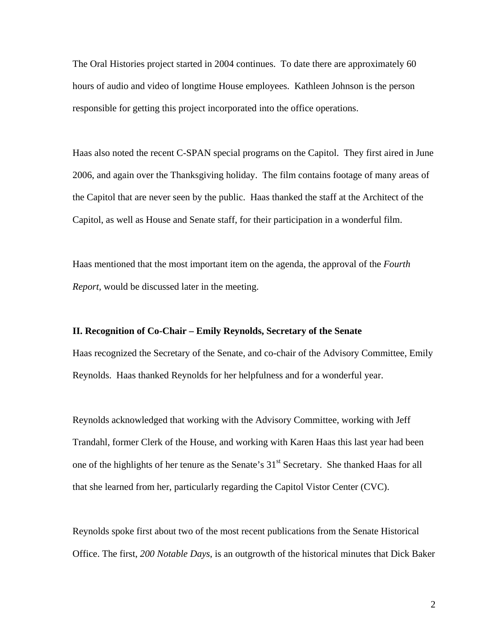The Oral Histories project started in 2004 continues. To date there are approximately 60 hours of audio and video of longtime House employees. Kathleen Johnson is the person responsible for getting this project incorporated into the office operations.

Haas also noted the recent C-SPAN special programs on the Capitol. They first aired in June 2006, and again over the Thanksgiving holiday. The film contains footage of many areas of the Capitol that are never seen by the public. Haas thanked the staff at the Architect of the Capitol, as well as House and Senate staff, for their participation in a wonderful film.

Haas mentioned that the most important item on the agenda, the approval of the *Fourth Report,* would be discussed later in the meeting.

## **II. Recognition of Co-Chair – Emily Reynolds, Secretary of the Senate**

Haas recognized the Secretary of the Senate, and co-chair of the Advisory Committee, Emily Reynolds. Haas thanked Reynolds for her helpfulness and for a wonderful year.

Reynolds acknowledged that working with the Advisory Committee, working with Jeff Trandahl, former Clerk of the House, and working with Karen Haas this last year had been one of the highlights of her tenure as the Senate's 31<sup>st</sup> Secretary. She thanked Haas for all that she learned from her, particularly regarding the Capitol Vistor Center (CVC).

Reynolds spoke first about two of the most recent publications from the Senate Historical Office. The first, *200 Notable Days*, is an outgrowth of the historical minutes that Dick Baker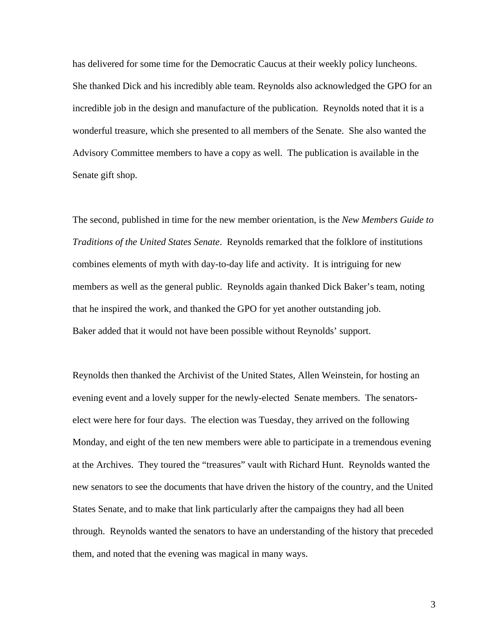has delivered for some time for the Democratic Caucus at their weekly policy luncheons. She thanked Dick and his incredibly able team. Reynolds also acknowledged the GPO for an incredible job in the design and manufacture of the publication. Reynolds noted that it is a wonderful treasure, which she presented to all members of the Senate. She also wanted the Advisory Committee members to have a copy as well. The publication is available in the Senate gift shop.

The second, published in time for the new member orientation, is the *New Members Guide to Traditions of the United States Senate*. Reynolds remarked that the folklore of institutions combines elements of myth with day-to-day life and activity. It is intriguing for new members as well as the general public. Reynolds again thanked Dick Baker's team, noting that he inspired the work, and thanked the GPO for yet another outstanding job. Baker added that it would not have been possible without Reynolds' support.

Reynolds then thanked the Archivist of the United States, Allen Weinstein, for hosting an evening event and a lovely supper for the newly-elected Senate members. The senatorselect were here for four days. The election was Tuesday, they arrived on the following Monday, and eight of the ten new members were able to participate in a tremendous evening at the Archives. They toured the "treasures" vault with Richard Hunt. Reynolds wanted the new senators to see the documents that have driven the history of the country, and the United States Senate, and to make that link particularly after the campaigns they had all been through. Reynolds wanted the senators to have an understanding of the history that preceded them, and noted that the evening was magical in many ways.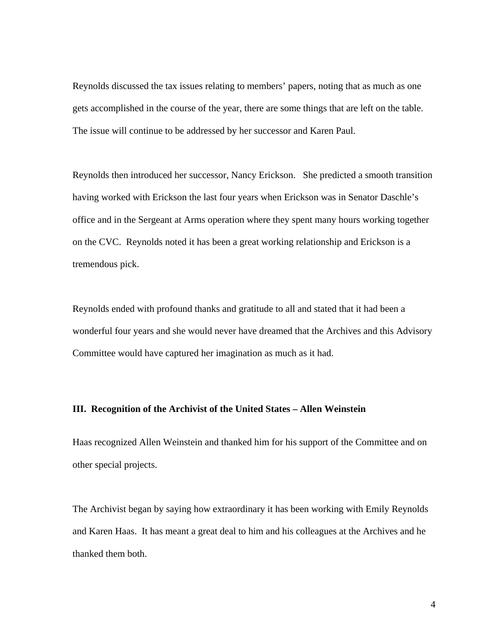Reynolds discussed the tax issues relating to members' papers, noting that as much as one gets accomplished in the course of the year, there are some things that are left on the table. The issue will continue to be addressed by her successor and Karen Paul.

Reynolds then introduced her successor, Nancy Erickson. She predicted a smooth transition having worked with Erickson the last four years when Erickson was in Senator Daschle's office and in the Sergeant at Arms operation where they spent many hours working together on the CVC. Reynolds noted it has been a great working relationship and Erickson is a tremendous pick.

Reynolds ended with profound thanks and gratitude to all and stated that it had been a wonderful four years and she would never have dreamed that the Archives and this Advisory Committee would have captured her imagination as much as it had.

# **III. Recognition of the Archivist of the United States – Allen Weinstein**

Haas recognized Allen Weinstein and thanked him for his support of the Committee and on other special projects.

The Archivist began by saying how extraordinary it has been working with Emily Reynolds and Karen Haas. It has meant a great deal to him and his colleagues at the Archives and he thanked them both.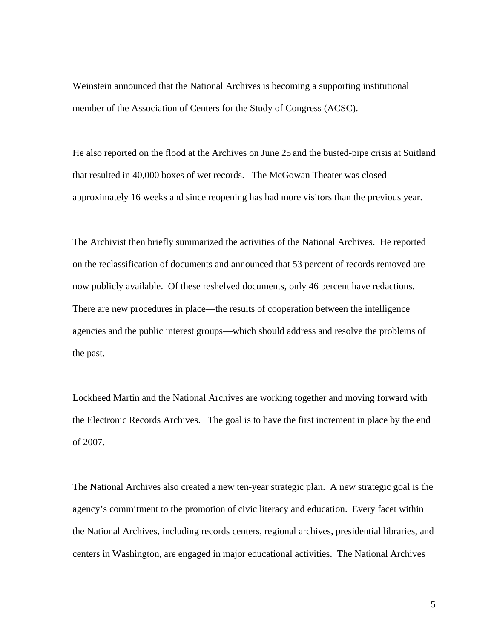Weinstein announced that the National Archives is becoming a supporting institutional member of the Association of Centers for the Study of Congress (ACSC).

He also reported on the flood at the Archives on June 25 and the busted-pipe crisis at Suitland that resulted in 40,000 boxes of wet records. The McGowan Theater was closed approximately 16 weeks and since reopening has had more visitors than the previous year.

The Archivist then briefly summarized the activities of the National Archives. He reported on the reclassification of documents and announced that 53 percent of records removed are now publicly available. Of these reshelved documents, only 46 percent have redactions. There are new procedures in place—the results of cooperation between the intelligence agencies and the public interest groups—which should address and resolve the problems of the past.

Lockheed Martin and the National Archives are working together and moving forward with the Electronic Records Archives. The goal is to have the first increment in place by the end of 2007.

The National Archives also created a new ten-year strategic plan. A new strategic goal is the agency's commitment to the promotion of civic literacy and education. Every facet within the National Archives, including records centers, regional archives, presidential libraries, and centers in Washington, are engaged in major educational activities. The National Archives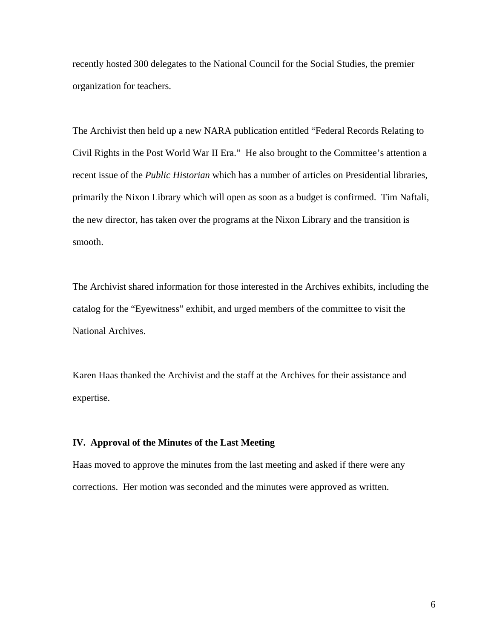recently hosted 300 delegates to the National Council for the Social Studies, the premier organization for teachers.

The Archivist then held up a new NARA publication entitled "Federal Records Relating to Civil Rights in the Post World War II Era." He also brought to the Committee's attention a recent issue of the *Public Historian* which has a number of articles on Presidential libraries, primarily the Nixon Library which will open as soon as a budget is confirmed. Tim Naftali, the new director, has taken over the programs at the Nixon Library and the transition is smooth.

The Archivist shared information for those interested in the Archives exhibits, including the catalog for the "Eyewitness" exhibit, and urged members of the committee to visit the National Archives.

Karen Haas thanked the Archivist and the staff at the Archives for their assistance and expertise.

#### **IV. Approval of the Minutes of the Last Meeting**

Haas moved to approve the minutes from the last meeting and asked if there were any corrections. Her motion was seconded and the minutes were approved as written.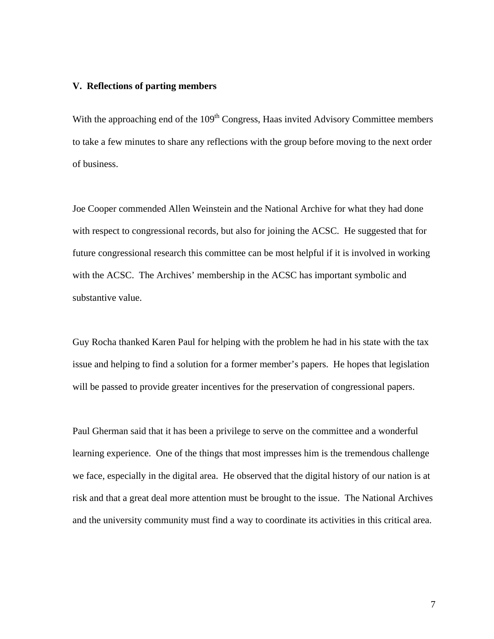### **V. Reflections of parting members**

With the approaching end of the 109<sup>th</sup> Congress, Haas invited Advisory Committee members to take a few minutes to share any reflections with the group before moving to the next order of business.

Joe Cooper commended Allen Weinstein and the National Archive for what they had done with respect to congressional records, but also for joining the ACSC. He suggested that for future congressional research this committee can be most helpful if it is involved in working with the ACSC. The Archives' membership in the ACSC has important symbolic and substantive value.

Guy Rocha thanked Karen Paul for helping with the problem he had in his state with the tax issue and helping to find a solution for a former member's papers. He hopes that legislation will be passed to provide greater incentives for the preservation of congressional papers.

Paul Gherman said that it has been a privilege to serve on the committee and a wonderful learning experience. One of the things that most impresses him is the tremendous challenge we face, especially in the digital area. He observed that the digital history of our nation is at risk and that a great deal more attention must be brought to the issue. The National Archives and the university community must find a way to coordinate its activities in this critical area.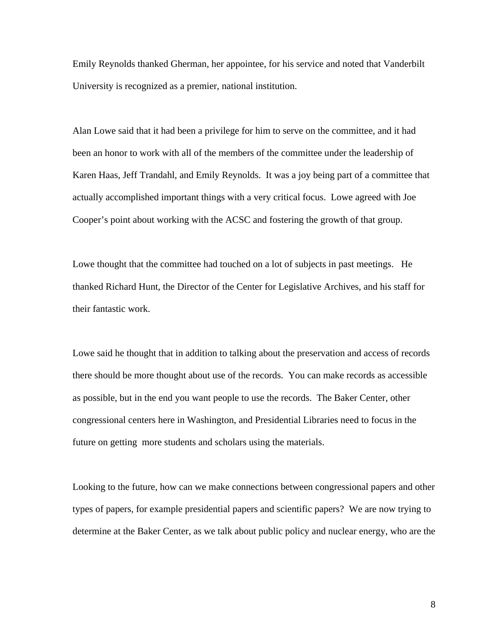Emily Reynolds thanked Gherman, her appointee, for his service and noted that Vanderbilt University is recognized as a premier, national institution.

Alan Lowe said that it had been a privilege for him to serve on the committee, and it had been an honor to work with all of the members of the committee under the leadership of Karen Haas, Jeff Trandahl, and Emily Reynolds. It was a joy being part of a committee that actually accomplished important things with a very critical focus. Lowe agreed with Joe Cooper's point about working with the ACSC and fostering the growth of that group.

Lowe thought that the committee had touched on a lot of subjects in past meetings. He thanked Richard Hunt, the Director of the Center for Legislative Archives, and his staff for their fantastic work.

Lowe said he thought that in addition to talking about the preservation and access of records there should be more thought about use of the records. You can make records as accessible as possible, but in the end you want people to use the records. The Baker Center, other congressional centers here in Washington, and Presidential Libraries need to focus in the future on getting more students and scholars using the materials.

Looking to the future, how can we make connections between congressional papers and other types of papers, for example presidential papers and scientific papers? We are now trying to determine at the Baker Center, as we talk about public policy and nuclear energy, who are the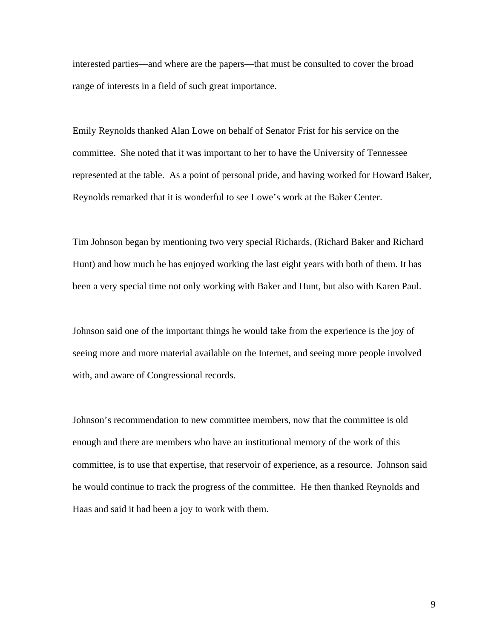interested parties—and where are the papers—that must be consulted to cover the broad range of interests in a field of such great importance.

Emily Reynolds thanked Alan Lowe on behalf of Senator Frist for his service on the committee. She noted that it was important to her to have the University of Tennessee represented at the table. As a point of personal pride, and having worked for Howard Baker, Reynolds remarked that it is wonderful to see Lowe's work at the Baker Center.

Tim Johnson began by mentioning two very special Richards, (Richard Baker and Richard Hunt) and how much he has enjoyed working the last eight years with both of them. It has been a very special time not only working with Baker and Hunt, but also with Karen Paul.

Johnson said one of the important things he would take from the experience is the joy of seeing more and more material available on the Internet, and seeing more people involved with, and aware of Congressional records.

Johnson's recommendation to new committee members, now that the committee is old enough and there are members who have an institutional memory of the work of this committee, is to use that expertise, that reservoir of experience, as a resource. Johnson said he would continue to track the progress of the committee. He then thanked Reynolds and Haas and said it had been a joy to work with them.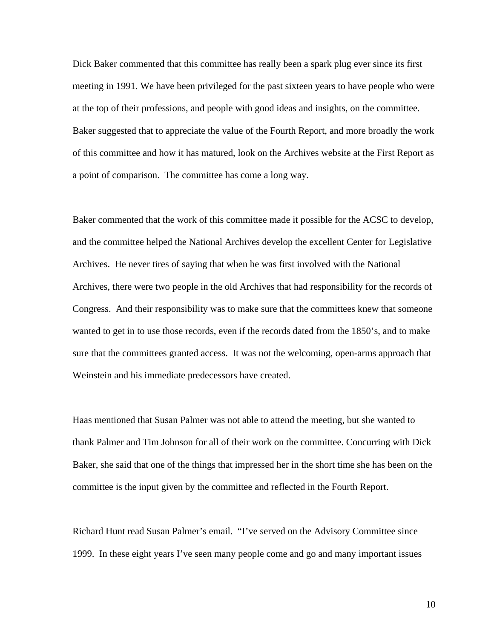Dick Baker commented that this committee has really been a spark plug ever since its first meeting in 1991. We have been privileged for the past sixteen years to have people who were at the top of their professions, and people with good ideas and insights, on the committee. Baker suggested that to appreciate the value of the Fourth Report, and more broadly the work of this committee and how it has matured, look on the Archives website at the First Report as a point of comparison. The committee has come a long way.

Baker commented that the work of this committee made it possible for the ACSC to develop, and the committee helped the National Archives develop the excellent Center for Legislative Archives. He never tires of saying that when he was first involved with the National Archives, there were two people in the old Archives that had responsibility for the records of Congress. And their responsibility was to make sure that the committees knew that someone wanted to get in to use those records, even if the records dated from the 1850's, and to make sure that the committees granted access. It was not the welcoming, open-arms approach that Weinstein and his immediate predecessors have created.

Haas mentioned that Susan Palmer was not able to attend the meeting, but she wanted to thank Palmer and Tim Johnson for all of their work on the committee. Concurring with Dick Baker, she said that one of the things that impressed her in the short time she has been on the committee is the input given by the committee and reflected in the Fourth Report.

Richard Hunt read Susan Palmer's email. "I've served on the Advisory Committee since 1999. In these eight years I've seen many people come and go and many important issues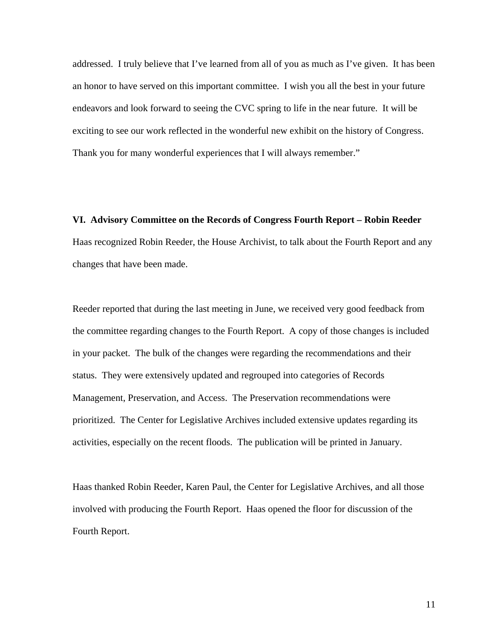addressed. I truly believe that I've learned from all of you as much as I've given. It has been an honor to have served on this important committee. I wish you all the best in your future endeavors and look forward to seeing the CVC spring to life in the near future. It will be exciting to see our work reflected in the wonderful new exhibit on the history of Congress. Thank you for many wonderful experiences that I will always remember."

**VI. Advisory Committee on the Records of Congress Fourth Report – Robin Reeder**  Haas recognized Robin Reeder, the House Archivist, to talk about the Fourth Report and any changes that have been made.

Reeder reported that during the last meeting in June, we received very good feedback from the committee regarding changes to the Fourth Report. A copy of those changes is included in your packet. The bulk of the changes were regarding the recommendations and their status. They were extensively updated and regrouped into categories of Records Management, Preservation, and Access. The Preservation recommendations were prioritized. The Center for Legislative Archives included extensive updates regarding its activities, especially on the recent floods. The publication will be printed in January.

Haas thanked Robin Reeder, Karen Paul, the Center for Legislative Archives, and all those involved with producing the Fourth Report. Haas opened the floor for discussion of the Fourth Report.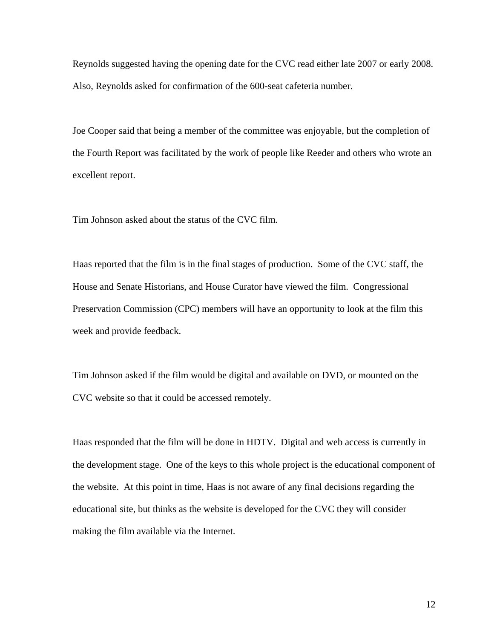Reynolds suggested having the opening date for the CVC read either late 2007 or early 2008. Also, Reynolds asked for confirmation of the 600-seat cafeteria number.

Joe Cooper said that being a member of the committee was enjoyable, but the completion of the Fourth Report was facilitated by the work of people like Reeder and others who wrote an excellent report.

Tim Johnson asked about the status of the CVC film.

Haas reported that the film is in the final stages of production. Some of the CVC staff, the House and Senate Historians, and House Curator have viewed the film. Congressional Preservation Commission (CPC) members will have an opportunity to look at the film this week and provide feedback.

Tim Johnson asked if the film would be digital and available on DVD, or mounted on the CVC website so that it could be accessed remotely.

Haas responded that the film will be done in HDTV. Digital and web access is currently in the development stage. One of the keys to this whole project is the educational component of the website. At this point in time, Haas is not aware of any final decisions regarding the educational site, but thinks as the website is developed for the CVC they will consider making the film available via the Internet.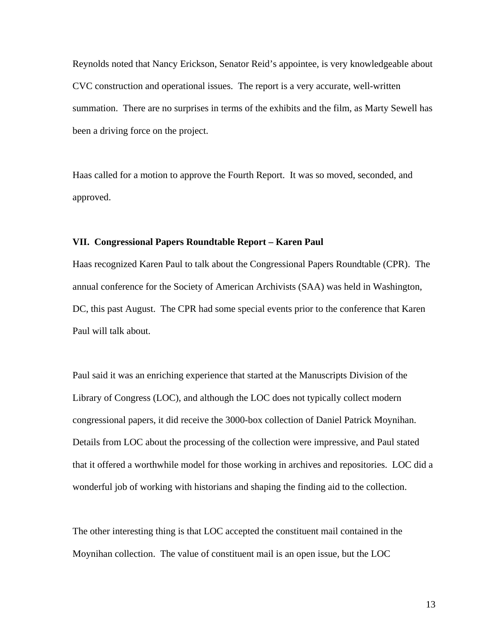Reynolds noted that Nancy Erickson, Senator Reid's appointee, is very knowledgeable about CVC construction and operational issues. The report is a very accurate, well-written summation. There are no surprises in terms of the exhibits and the film, as Marty Sewell has been a driving force on the project.

Haas called for a motion to approve the Fourth Report. It was so moved, seconded, and approved.

# **VII. Congressional Papers Roundtable Report – Karen Paul**

Haas recognized Karen Paul to talk about the Congressional Papers Roundtable (CPR). The annual conference for the Society of American Archivists (SAA) was held in Washington, DC, this past August. The CPR had some special events prior to the conference that Karen Paul will talk about.

Paul said it was an enriching experience that started at the Manuscripts Division of the Library of Congress (LOC), and although the LOC does not typically collect modern congressional papers, it did receive the 3000-box collection of Daniel Patrick Moynihan. Details from LOC about the processing of the collection were impressive, and Paul stated that it offered a worthwhile model for those working in archives and repositories. LOC did a wonderful job of working with historians and shaping the finding aid to the collection.

The other interesting thing is that LOC accepted the constituent mail contained in the Moynihan collection. The value of constituent mail is an open issue, but the LOC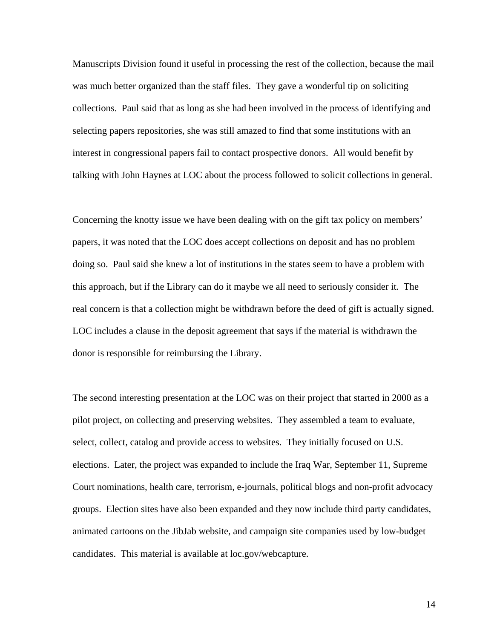Manuscripts Division found it useful in processing the rest of the collection, because the mail was much better organized than the staff files. They gave a wonderful tip on soliciting collections. Paul said that as long as she had been involved in the process of identifying and selecting papers repositories, she was still amazed to find that some institutions with an interest in congressional papers fail to contact prospective donors. All would benefit by talking with John Haynes at LOC about the process followed to solicit collections in general.

Concerning the knotty issue we have been dealing with on the gift tax policy on members' papers, it was noted that the LOC does accept collections on deposit and has no problem doing so. Paul said she knew a lot of institutions in the states seem to have a problem with this approach, but if the Library can do it maybe we all need to seriously consider it. The real concern is that a collection might be withdrawn before the deed of gift is actually signed. LOC includes a clause in the deposit agreement that says if the material is withdrawn the donor is responsible for reimbursing the Library.

The second interesting presentation at the LOC was on their project that started in 2000 as a pilot project, on collecting and preserving websites. They assembled a team to evaluate, select, collect, catalog and provide access to websites. They initially focused on U.S. elections. Later, the project was expanded to include the Iraq War, September 11, Supreme Court nominations, health care, terrorism, e-journals, political blogs and non-profit advocacy groups. Election sites have also been expanded and they now include third party candidates, animated cartoons on the JibJab website, and campaign site companies used by low-budget candidates. This material is available at loc.gov/webcapture.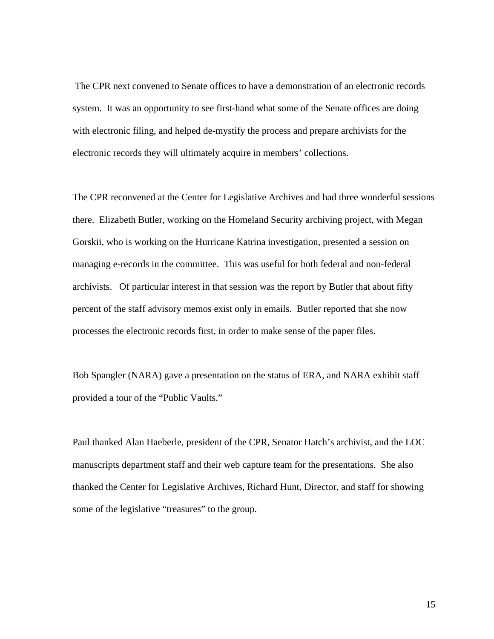The CPR next convened to Senate offices to have a demonstration of an electronic records system. It was an opportunity to see first-hand what some of the Senate offices are doing with electronic filing, and helped de-mystify the process and prepare archivists for the electronic records they will ultimately acquire in members' collections.

The CPR reconvened at the Center for Legislative Archives and had three wonderful sessions there. Elizabeth Butler, working on the Homeland Security archiving project, with Megan Gorskii, who is working on the Hurricane Katrina investigation, presented a session on managing e-records in the committee. This was useful for both federal and non-federal archivists. Of particular interest in that session was the report by Butler that about fifty percent of the staff advisory memos exist only in emails. Butler reported that she now processes the electronic records first, in order to make sense of the paper files.

Bob Spangler (NARA) gave a presentation on the status of ERA, and NARA exhibit staff provided a tour of the "Public Vaults."

Paul thanked Alan Haeberle, president of the CPR, Senator Hatch's archivist, and the LOC manuscripts department staff and their web capture team for the presentations. She also thanked the Center for Legislative Archives, Richard Hunt, Director, and staff for showing some of the legislative "treasures" to the group.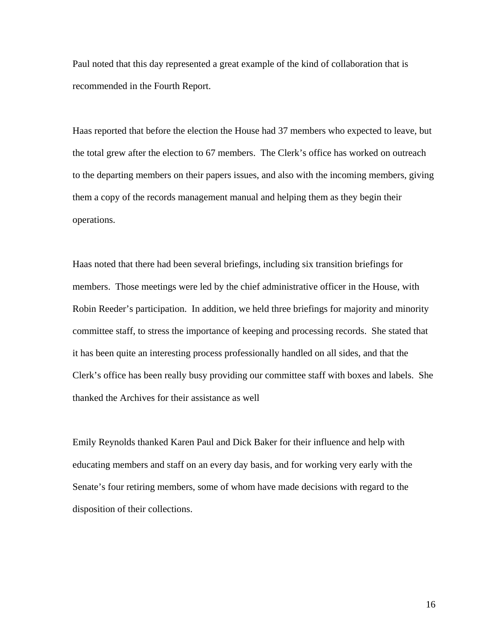Paul noted that this day represented a great example of the kind of collaboration that is recommended in the Fourth Report.

Haas reported that before the election the House had 37 members who expected to leave, but the total grew after the election to 67 members. The Clerk's office has worked on outreach to the departing members on their papers issues, and also with the incoming members, giving them a copy of the records management manual and helping them as they begin their operations.

Haas noted that there had been several briefings, including six transition briefings for members. Those meetings were led by the chief administrative officer in the House, with Robin Reeder's participation. In addition, we held three briefings for majority and minority committee staff, to stress the importance of keeping and processing records. She stated that it has been quite an interesting process professionally handled on all sides, and that the Clerk's office has been really busy providing our committee staff with boxes and labels. She thanked the Archives for their assistance as well

Emily Reynolds thanked Karen Paul and Dick Baker for their influence and help with educating members and staff on an every day basis, and for working very early with the Senate's four retiring members, some of whom have made decisions with regard to the disposition of their collections.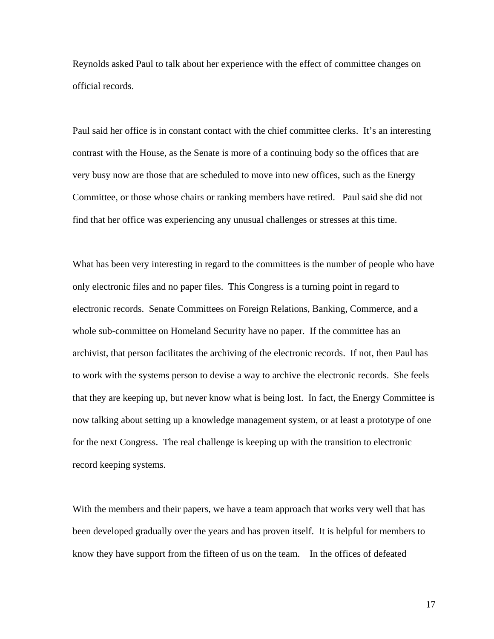Reynolds asked Paul to talk about her experience with the effect of committee changes on official records.

Paul said her office is in constant contact with the chief committee clerks. It's an interesting contrast with the House, as the Senate is more of a continuing body so the offices that are very busy now are those that are scheduled to move into new offices, such as the Energy Committee, or those whose chairs or ranking members have retired. Paul said she did not find that her office was experiencing any unusual challenges or stresses at this time.

What has been very interesting in regard to the committees is the number of people who have only electronic files and no paper files. This Congress is a turning point in regard to electronic records. Senate Committees on Foreign Relations, Banking, Commerce, and a whole sub-committee on Homeland Security have no paper. If the committee has an archivist, that person facilitates the archiving of the electronic records. If not, then Paul has to work with the systems person to devise a way to archive the electronic records. She feels that they are keeping up, but never know what is being lost. In fact, the Energy Committee is now talking about setting up a knowledge management system, or at least a prototype of one for the next Congress. The real challenge is keeping up with the transition to electronic record keeping systems.

With the members and their papers, we have a team approach that works very well that has been developed gradually over the years and has proven itself. It is helpful for members to know they have support from the fifteen of us on the team. In the offices of defeated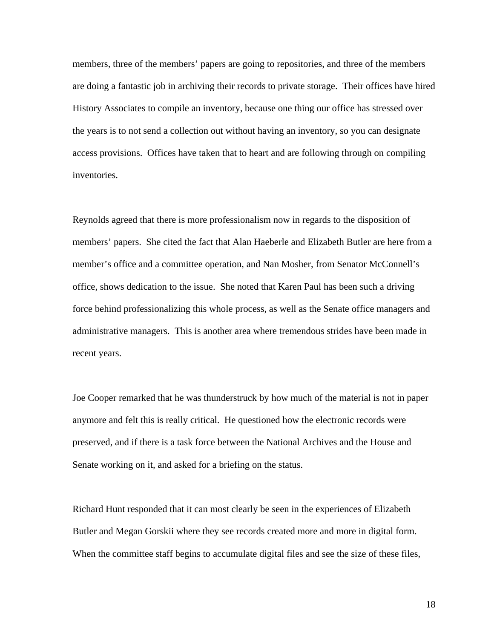members, three of the members' papers are going to repositories, and three of the members are doing a fantastic job in archiving their records to private storage. Their offices have hired History Associates to compile an inventory, because one thing our office has stressed over the years is to not send a collection out without having an inventory, so you can designate access provisions. Offices have taken that to heart and are following through on compiling inventories.

Reynolds agreed that there is more professionalism now in regards to the disposition of members' papers. She cited the fact that Alan Haeberle and Elizabeth Butler are here from a member's office and a committee operation, and Nan Mosher, from Senator McConnell's office, shows dedication to the issue. She noted that Karen Paul has been such a driving force behind professionalizing this whole process, as well as the Senate office managers and administrative managers. This is another area where tremendous strides have been made in recent years.

Joe Cooper remarked that he was thunderstruck by how much of the material is not in paper anymore and felt this is really critical. He questioned how the electronic records were preserved, and if there is a task force between the National Archives and the House and Senate working on it, and asked for a briefing on the status.

Richard Hunt responded that it can most clearly be seen in the experiences of Elizabeth Butler and Megan Gorskii where they see records created more and more in digital form. When the committee staff begins to accumulate digital files and see the size of these files,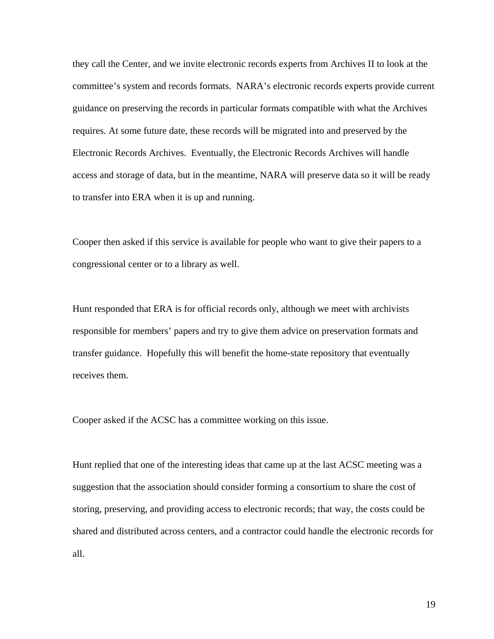they call the Center, and we invite electronic records experts from Archives II to look at the committee's system and records formats. NARA's electronic records experts provide current guidance on preserving the records in particular formats compatible with what the Archives requires. At some future date, these records will be migrated into and preserved by the Electronic Records Archives. Eventually, the Electronic Records Archives will handle access and storage of data, but in the meantime, NARA will preserve data so it will be ready to transfer into ERA when it is up and running.

Cooper then asked if this service is available for people who want to give their papers to a congressional center or to a library as well.

Hunt responded that ERA is for official records only, although we meet with archivists responsible for members' papers and try to give them advice on preservation formats and transfer guidance. Hopefully this will benefit the home-state repository that eventually receives them.

Cooper asked if the ACSC has a committee working on this issue.

Hunt replied that one of the interesting ideas that came up at the last ACSC meeting was a suggestion that the association should consider forming a consortium to share the cost of storing, preserving, and providing access to electronic records; that way, the costs could be shared and distributed across centers, and a contractor could handle the electronic records for all.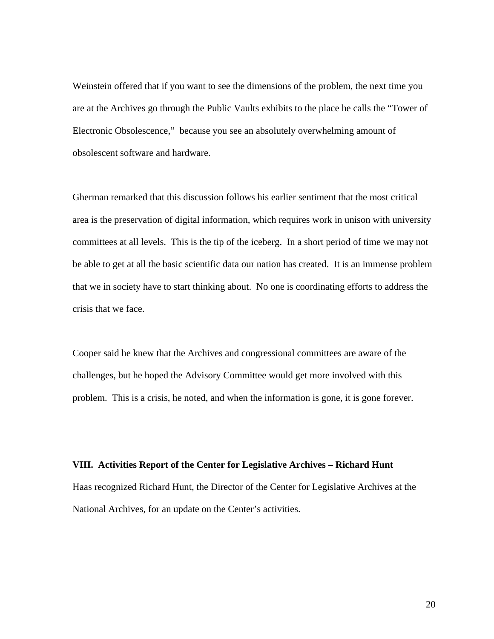Weinstein offered that if you want to see the dimensions of the problem, the next time you are at the Archives go through the Public Vaults exhibits to the place he calls the "Tower of Electronic Obsolescence," because you see an absolutely overwhelming amount of obsolescent software and hardware.

Gherman remarked that this discussion follows his earlier sentiment that the most critical area is the preservation of digital information, which requires work in unison with university committees at all levels. This is the tip of the iceberg. In a short period of time we may not be able to get at all the basic scientific data our nation has created. It is an immense problem that we in society have to start thinking about. No one is coordinating efforts to address the crisis that we face.

Cooper said he knew that the Archives and congressional committees are aware of the challenges, but he hoped the Advisory Committee would get more involved with this problem. This is a crisis, he noted, and when the information is gone, it is gone forever.

**VIII. Activities Report of the Center for Legislative Archives – Richard Hunt** Haas recognized Richard Hunt, the Director of the Center for Legislative Archives at the National Archives, for an update on the Center's activities.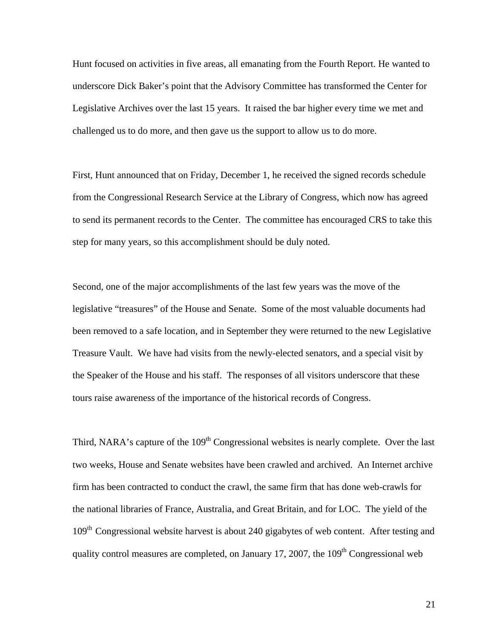Hunt focused on activities in five areas, all emanating from the Fourth Report. He wanted to underscore Dick Baker's point that the Advisory Committee has transformed the Center for Legislative Archives over the last 15 years. It raised the bar higher every time we met and challenged us to do more, and then gave us the support to allow us to do more.

First, Hunt announced that on Friday, December 1, he received the signed records schedule from the Congressional Research Service at the Library of Congress, which now has agreed to send its permanent records to the Center. The committee has encouraged CRS to take this step for many years, so this accomplishment should be duly noted.

Second, one of the major accomplishments of the last few years was the move of the legislative "treasures" of the House and Senate. Some of the most valuable documents had been removed to a safe location, and in September they were returned to the new Legislative Treasure Vault. We have had visits from the newly-elected senators, and a special visit by the Speaker of the House and his staff. The responses of all visitors underscore that these tours raise awareness of the importance of the historical records of Congress.

Third, NARA's capture of the 109<sup>th</sup> Congressional websites is nearly complete. Over the last two weeks, House and Senate websites have been crawled and archived. An Internet archive firm has been contracted to conduct the crawl, the same firm that has done web-crawls for the national libraries of France, Australia, and Great Britain, and for LOC. The yield of the 109<sup>th</sup> Congressional website harvest is about 240 gigabytes of web content. After testing and quality control measures are completed, on January 17, 2007, the  $109<sup>th</sup>$  Congressional web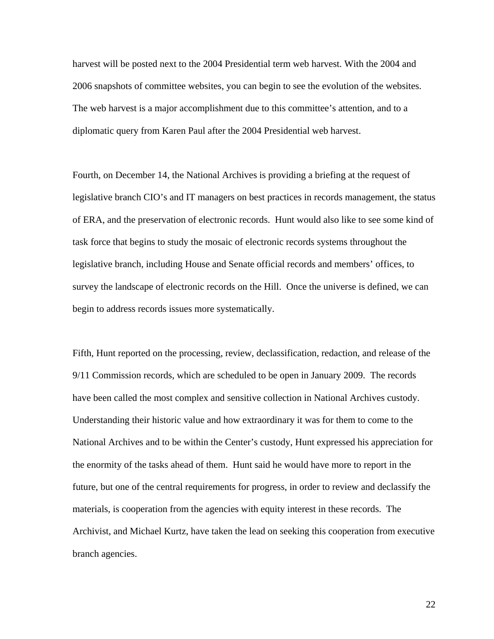harvest will be posted next to the 2004 Presidential term web harvest. With the 2004 and 2006 snapshots of committee websites, you can begin to see the evolution of the websites. The web harvest is a major accomplishment due to this committee's attention, and to a diplomatic query from Karen Paul after the 2004 Presidential web harvest.

Fourth, on December 14, the National Archives is providing a briefing at the request of legislative branch CIO's and IT managers on best practices in records management, the status of ERA, and the preservation of electronic records. Hunt would also like to see some kind of task force that begins to study the mosaic of electronic records systems throughout the legislative branch, including House and Senate official records and members' offices, to survey the landscape of electronic records on the Hill. Once the universe is defined, we can begin to address records issues more systematically.

Fifth, Hunt reported on the processing, review, declassification, redaction, and release of the 9/11 Commission records, which are scheduled to be open in January 2009. The records have been called the most complex and sensitive collection in National Archives custody. Understanding their historic value and how extraordinary it was for them to come to the National Archives and to be within the Center's custody, Hunt expressed his appreciation for the enormity of the tasks ahead of them. Hunt said he would have more to report in the future, but one of the central requirements for progress, in order to review and declassify the materials, is cooperation from the agencies with equity interest in these records. The Archivist, and Michael Kurtz, have taken the lead on seeking this cooperation from executive branch agencies.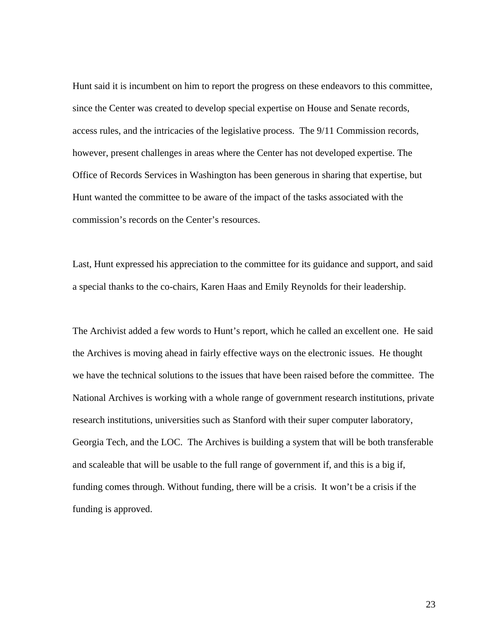Hunt said it is incumbent on him to report the progress on these endeavors to this committee, since the Center was created to develop special expertise on House and Senate records, access rules, and the intricacies of the legislative process. The 9/11 Commission records, however, present challenges in areas where the Center has not developed expertise. The Office of Records Services in Washington has been generous in sharing that expertise, but Hunt wanted the committee to be aware of the impact of the tasks associated with the commission's records on the Center's resources.

Last, Hunt expressed his appreciation to the committee for its guidance and support, and said a special thanks to the co-chairs, Karen Haas and Emily Reynolds for their leadership.

The Archivist added a few words to Hunt's report, which he called an excellent one. He said the Archives is moving ahead in fairly effective ways on the electronic issues. He thought we have the technical solutions to the issues that have been raised before the committee. The National Archives is working with a whole range of government research institutions, private research institutions, universities such as Stanford with their super computer laboratory, Georgia Tech, and the LOC. The Archives is building a system that will be both transferable and scaleable that will be usable to the full range of government if, and this is a big if, funding comes through. Without funding, there will be a crisis. It won't be a crisis if the funding is approved.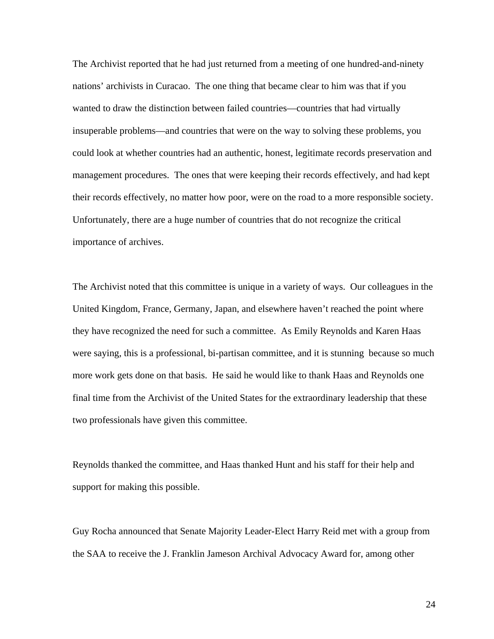The Archivist reported that he had just returned from a meeting of one hundred-and-ninety nations' archivists in Curacao. The one thing that became clear to him was that if you wanted to draw the distinction between failed countries—countries that had virtually insuperable problems—and countries that were on the way to solving these problems, you could look at whether countries had an authentic, honest, legitimate records preservation and management procedures. The ones that were keeping their records effectively, and had kept their records effectively, no matter how poor, were on the road to a more responsible society. Unfortunately, there are a huge number of countries that do not recognize the critical importance of archives.

The Archivist noted that this committee is unique in a variety of ways. Our colleagues in the United Kingdom, France, Germany, Japan, and elsewhere haven't reached the point where they have recognized the need for such a committee. As Emily Reynolds and Karen Haas were saying, this is a professional, bi-partisan committee, and it is stunning because so much more work gets done on that basis. He said he would like to thank Haas and Reynolds one final time from the Archivist of the United States for the extraordinary leadership that these two professionals have given this committee.

Reynolds thanked the committee, and Haas thanked Hunt and his staff for their help and support for making this possible.

Guy Rocha announced that Senate Majority Leader-Elect Harry Reid met with a group from the SAA to receive the J. Franklin Jameson Archival Advocacy Award for, among other